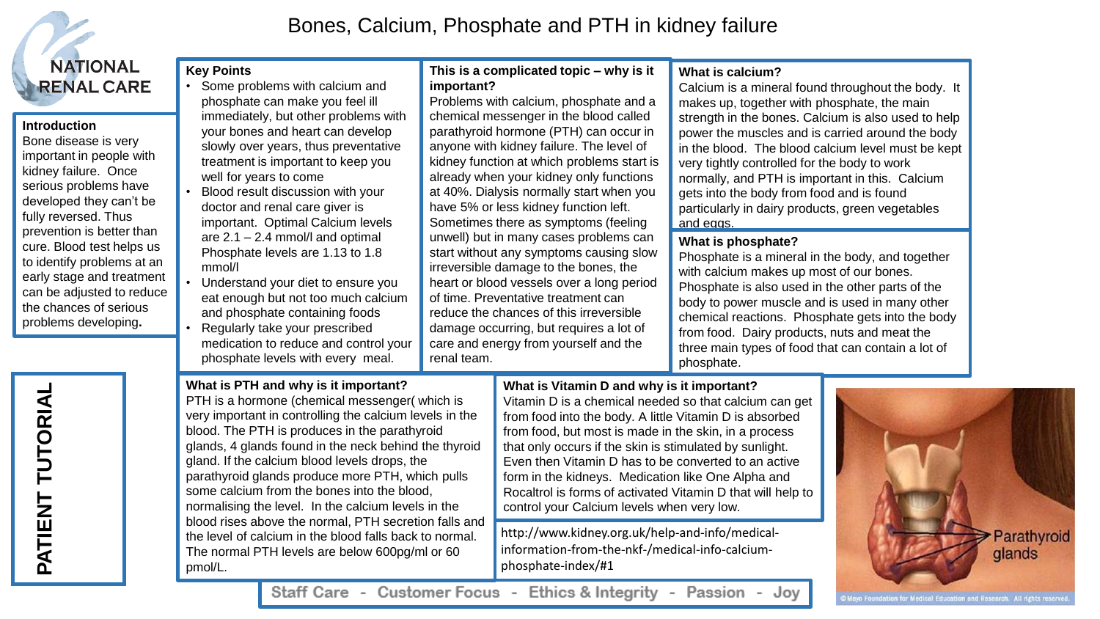

## **Introduction**

Bone disease is very important in people with kidney failure. Once serious problems have developed they can't be fully reversed. Thus prevention is better than cure. Blood test helps us to identify problems at an early stage and treatment can be adjusted to reduce the chances of serious problems developing**.**

Bones, Calcium, Phosphate and PTH in kidney failure

## **Key Points**

- Some problems with calcium and phosphate can make you feel ill immediately, but other problems with your bones and heart can develop slowly over years, thus preventative treatment is important to keep you well for years to come
- Blood result discussion with your doctor and renal care giver is important. Optimal Calcium levels are 2.1 – 2.4 mmol/l and optimal Phosphate levels are 1.13 to 1.8 mmol/l
- Understand your diet to ensure you eat enough but not too much calcium and phosphate containing foods
- Regularly take your prescribed medication to reduce and control your phosphate levels with every meal.

**This is a complicated topic – why is it important?**

Problems with calcium, phosphate and a chemical messenger in the blood called parathyroid hormone (PTH) can occur in anyone with kidney failure. The level of kidney function at which problems start is already when your kidney only functions at 40%. Dialysis normally start when you have 5% or less kidney function left. Sometimes there as symptoms (feeling unwell) but in many cases problems can start without any symptoms causing slow irreversible damage to the bones, the heart or blood vessels over a long period of time. Preventative treatment can reduce the chances of this irreversible damage occurring, but requires a lot of care and energy from yourself and the renal team.

## **What is calcium?**

Calcium is a mineral found throughout the body. It makes up, together with phosphate, the main strength in the bones. Calcium is also used to help power the muscles and is carried around the body in the blood. The blood calcium level must be kept very tightly controlled for the body to work normally, and PTH is important in this. Calcium gets into the body from food and is found particularly in dairy products, green vegetables and eggs.

## **What is phosphate?**

Phosphate is a mineral in the body, and together with calcium makes up most of our bones. Phosphate is also used in the other parts of the body to power muscle and is used in many other chemical reactions. Phosphate gets into the body from food. Dairy products, nuts and meat the three main types of food that can contain a lot of phosphate.

## **What is PTH and why is it important?**

PTH is a hormone (chemical messenger( which is very important in controlling the calcium levels in the blood. The PTH is produces in the parathyroid glands, 4 glands found in the neck behind the thyroid gland. If the calcium blood levels drops, the parathyroid glands produce more PTH, which pulls some calcium from the bones into the blood, normalising the level. In the calcium levels in the blood rises above the normal, PTH secretion falls and the level of calcium in the blood falls back to normal. The normal PTH levels are below 600pg/ml or 60 pmol/L.

# **What is Vitamin D and why is it important?**

Vitamin D is a chemical needed so that calcium can get from food into the body. A little Vitamin D is absorbed from food, but most is made in the skin, in a process that only occurs if the skin is stimulated by sunlight. Even then Vitamin D has to be converted to an active form in the kidneys. Medication like One Alpha and Rocaltrol is forms of activated Vitamin D that will help to control your Calcium levels when very low.

http://www.kidney.org.uk/help-and-info/medicalinformation-from-the-nkf-/medical-info-calciumphosphate-index/#1



Staff Care - Customer Focus - Ethics & Integrity - Passion - Joy